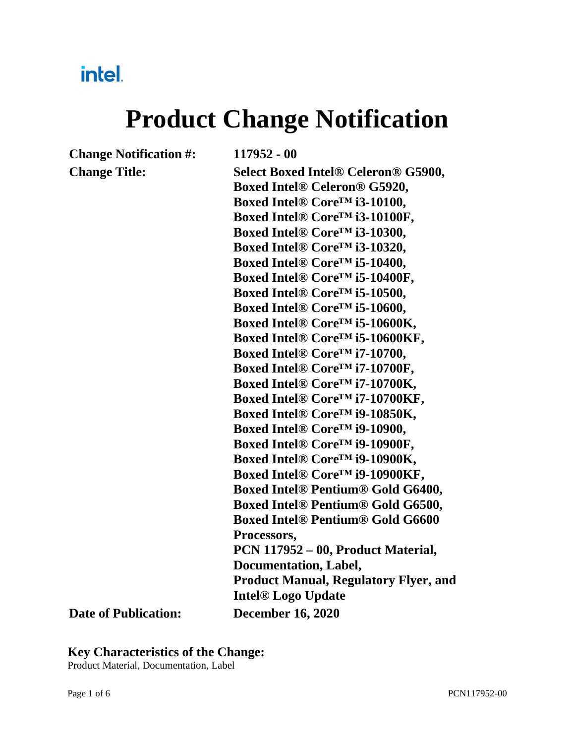### intel.

# **Product Change Notification**

**Change Notification #: 117952 - 00** 

**Change Title: Select Boxed Intel® Celeron® G5900, Boxed Intel® Celeron® G5920, Boxed Intel® Core™ i3-10100, Boxed Intel® Core™ i3-10100F, Boxed Intel® Core™ i3-10300, Boxed Intel® Core™ i3-10320, Boxed Intel® Core™ i5-10400, Boxed Intel® Core™ i5-10400F, Boxed Intel® Core™ i5-10500, Boxed Intel® Core™ i5-10600, Boxed Intel® Core™ i5-10600K, Boxed Intel® Core™ i5-10600KF, Boxed Intel® Core™ i7-10700, Boxed Intel® Core™ i7-10700F, Boxed Intel® Core™ i7-10700K, Boxed Intel® Core™ i7-10700KF, Boxed Intel® Core™ i9-10850K, Boxed Intel® Core™ i9-10900, Boxed Intel® Core™ i9-10900F, Boxed Intel® Core™ i9-10900K, Boxed Intel® Core™ i9-10900KF, Boxed Intel® Pentium® Gold G6400, Boxed Intel® Pentium® Gold G6500, Boxed Intel® Pentium® Gold G6600 Processors, PCN 117952 – 00, Product Material, Documentation, Label, Product Manual, Regulatory Flyer, and Intel® Logo Update Date of Publication: December 16, 2020**

#### **Key Characteristics of the Change:**

Product Material, Documentation, Label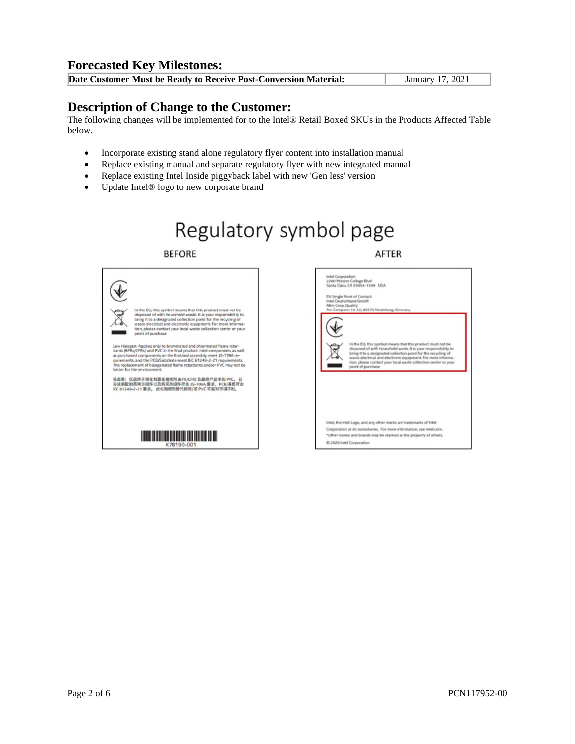#### **Forecasted Key Milestones:**

|  | Date Customer Must be Ready to Receive Post-Conversion Material: | January 17, 2021 |
|--|------------------------------------------------------------------|------------------|
|--|------------------------------------------------------------------|------------------|

#### **Description of Change to the Customer:**

The following changes will be implemented for to the Intel® Retail Boxed SKUs in the Products Affected Table below.

- Incorporate existing stand alone regulatory flyer content into installation manual
- Replace existing manual and separate regulatory flyer with new integrated manual
- Replace existing Intel Inside piggyback label with new 'Gen less' version
- Update Intel® logo to new corporate brand

### Regulatory symbol page

**BEFORE** 

AFTER

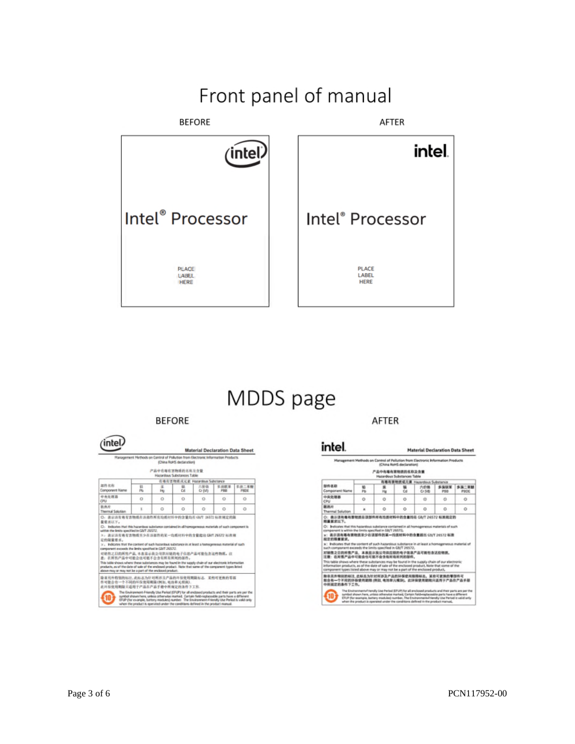### Front panel of manual



### MDDS page

#### **BEFORE**

|                                                                                                                                                                                                                                                                                                                                                                                                                                                                                                  |          | Maiagement Nethods on Cantrol of Poliution from Bietronic Information Products | (Dina Rolts detailation)  |                               |             |               |
|--------------------------------------------------------------------------------------------------------------------------------------------------------------------------------------------------------------------------------------------------------------------------------------------------------------------------------------------------------------------------------------------------------------------------------------------------------------------------------------------------|----------|--------------------------------------------------------------------------------|---------------------------|-------------------------------|-------------|---------------|
|                                                                                                                                                                                                                                                                                                                                                                                                                                                                                                  |          | 产品中在每在吉物质的名称及含量                                                                | Haronham Substances Table |                               |             |               |
|                                                                                                                                                                                                                                                                                                                                                                                                                                                                                                  |          |                                                                                |                           | 有毒有害物质或无害 Ranardium Substance |             |               |
| 温井主向<br>Component Name                                                                                                                                                                                                                                                                                                                                                                                                                                                                           | 石<br>Ph. | ×<br>Hu                                                                        | <b>Dit</b>                | 六股值<br>Cr N/D                 | 实况程某<br>PEB | 主従二素酸<br>PHTH |
| 中央社理器<br>CPU                                                                                                                                                                                                                                                                                                                                                                                                                                                                                     | o        | ö                                                                              | o                         | o                             | Ö           | o             |
| 新鉄片<br>Thornal Solution                                                                                                                                                                                                                                                                                                                                                                                                                                                                          | x.       | o                                                                              | o                         | O                             | O           | o             |
|                                                                                                                                                                                                                                                                                                                                                                                                                                                                                                  |          |                                                                                |                           |                               |             |               |
| 3 : 表示语有毒有害物质平少在语部性的某一均质材料中的含量能引 GMT 26572 标准规<br>定的凝量要求。<br>>>> Indicates that the context of such hazardous substance in at least a hamagenessa material of such<br>对质质之日的所售产品、本发品后我公司供应链的电子位息产品可能包含这些物质。在<br>意:在图哲产品中可能会也可能不会含有图有图相的显得。                                                                                                                                                                                                                                                       |          |                                                                                |                           |                               |             |               |
| within the limits specified in GMT 20572.<br>component exceeds the limits specified in EDIT 26572.<br>This table shows where these substances may be found in the supply chain of run electronic information<br>products, as of the date of sale of the endorsed product. Note that same of the companent types listed<br>about may or may not be a part of the enclosed implicit.<br>除量另外精强的标注,此标志为计对所涉及产品的环保使用期限标志, 莱格可更换的零器<br>作可能合有一个不同的环保技师期限(N达)、机场单元提供)。<br>此环在摩用期限只适用于产品在产品手册中所谓定的多件下工作。 |          |                                                                                |                           |                               |             |               |

AFTER

|                                                                                                                                                                                                                                                                                                                                                                                                                                                                                                                                                                                                                                                                                                                                             |          | Management Methods on Control of Pollution from Electronic Information Products | <b>IChina RoHS declaration!</b> |                               |              |                          |
|---------------------------------------------------------------------------------------------------------------------------------------------------------------------------------------------------------------------------------------------------------------------------------------------------------------------------------------------------------------------------------------------------------------------------------------------------------------------------------------------------------------------------------------------------------------------------------------------------------------------------------------------------------------------------------------------------------------------------------------------|----------|---------------------------------------------------------------------------------|---------------------------------|-------------------------------|--------------|--------------------------|
|                                                                                                                                                                                                                                                                                                                                                                                                                                                                                                                                                                                                                                                                                                                                             |          | 产品中有毒有害物质的名称及含量<br><b>Hanandous Substances Table</b>                            |                                 |                               |              |                          |
|                                                                                                                                                                                                                                                                                                                                                                                                                                                                                                                                                                                                                                                                                                                                             |          |                                                                                 |                                 | 有毒布膏地质或元素 Hazardous Substance |              |                          |
| 加作名取<br>Composent Name                                                                                                                                                                                                                                                                                                                                                                                                                                                                                                                                                                                                                                                                                                                      | w<br>pis | ٠<br><b>Har</b>                                                                 | u<br>ċй                         | 力的桶<br>Cr (VB)                | 多溴以某<br>PRIX | $8 - 200$<br><b>PSOE</b> |
| 中央受理器<br>CRU                                                                                                                                                                                                                                                                                                                                                                                                                                                                                                                                                                                                                                                                                                                                | o        | o                                                                               | o                               | ۰                             | o            | ٥                        |
| 趣読问<br>Themal Solution                                                                                                                                                                                                                                                                                                                                                                                                                                                                                                                                                                                                                                                                                                                      | ۰        | ō                                                                               | ō                               | o                             | o            | o                        |
|                                                                                                                                                                                                                                                                                                                                                                                                                                                                                                                                                                                                                                                                                                                                             |          |                                                                                 |                                 |                               |              |                          |
| C1 Bidlicates that this harandous substance contained in all homogeneous materials of such<br>component is within the limits specified in SB/T 26/LT2.<br>×: 表示该有毒有害物质至少在该那件的某一均质材料中的食量能出 GMT 24572 标准<br>拉兰的胸膜霍克。<br>a: Indicates that the sontent of such haparolous substance in at least a homogeneous material of<br>such component exceeds the limits specified in GB/T 26572.<br>对销售之日的所售产品,主表签示我公司保后链的电子信息产品对着税支送担销债。<br>注意:在所信产品中可能会也可能不会含有所有所列的服件。<br>This table shows where these substances may be found in the supply chain of our electronic<br>information products, as of the date of sale of the enclosed product. Note that some of the<br>component types licted above may or may not be a part of the enclosed product. |          |                                                                                 |                                 |                               |              |                          |
| 脑炎英外特别的病注 此标志为针对所述及产品的环保使用期限标志。某些可要换的复数件可<br>能会有一个不能的环保使用家庭 (例如, 电池单元模块)。此环保使用期限只适用于产品在产品手册<br>中国搬营的条件下工作。                                                                                                                                                                                                                                                                                                                                                                                                                                                                                                                                                                                                                                  |          |                                                                                 |                                 |                               |              |                          |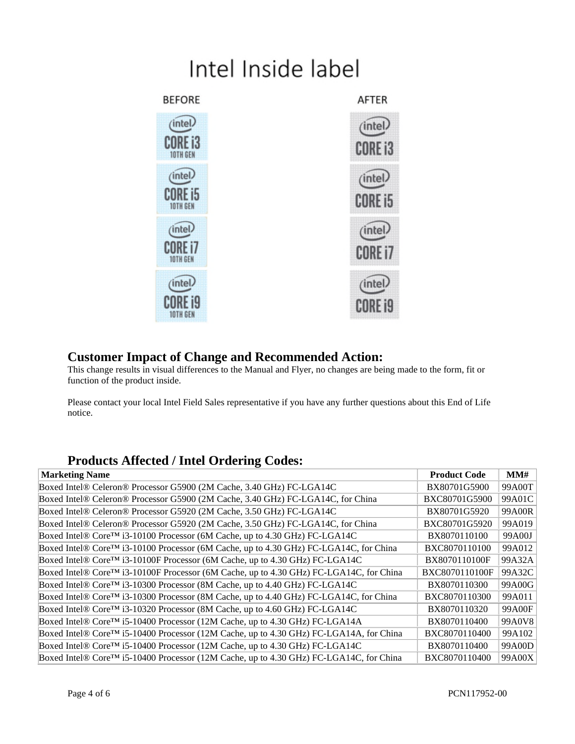# Intel Inside label



#### **Customer Impact of Change and Recommended Action:**

This change results in visual differences to the Manual and Flyer, no changes are being made to the form, fit or function of the product inside.

Please contact your local Intel Field Sales representative if you have any further questions about this End of Life notice.

#### **Products Affected / Intel Ordering Codes:**

| <b>Marketing Name</b>                                                                               | <b>Product Code</b>   | MM#    |
|-----------------------------------------------------------------------------------------------------|-----------------------|--------|
| Boxed Intel® Celeron® Processor G5900 (2M Cache, 3.40 GHz) FC-LGA14C                                | BX80701G5900          | 99A00T |
| Boxed Intel® Celeron® Processor G5900 (2M Cache, 3.40 GHz) FC-LGA14C, for China                     | BXC80701G5900         | 99A01C |
| Boxed Intel® Celeron® Processor G5920 (2M Cache, 3.50 GHz) FC-LGA14C                                | BX80701G5920          | 99A00R |
| Boxed Intel® Celeron® Processor G5920 (2M Cache, 3.50 GHz) FC-LGA14C, for China                     | BXC80701G5920         | 99A019 |
| Boxed Intel® Core™ i3-10100 Processor (6M Cache, up to 4.30 GHz) FC-LGA14C                          | BX8070110100          | 99A00J |
| Boxed Intel® Core™ i3-10100 Processor (6M Cache, up to 4.30 GHz) FC-LGA14C, for China               | BXC8070110100         | 99A012 |
| Boxed Intel® Core <sup>TM</sup> i3-10100F Processor (6M Cache, up to 4.30 GHz) FC-LGA14C            | BX8070110100F         | 99A32A |
| Boxed Intel® Core <sup>™</sup> i3-10100F Processor (6M Cache, up to 4.30 GHz) FC-LGA14C, for China  | <b>BXC8070110100F</b> | 99A32C |
| Boxed Intel® Core <sup>TM</sup> i3-10300 Processor (8M Cache, up to 4.40 GHz) FC-LGA14C             | BX8070110300          | 99A00G |
| Boxed Intel® Core™ i3-10300 Processor (8M Cache, up to 4.40 GHz) FC-LGA14C, for China               | BXC8070110300         | 99A011 |
| Boxed Intel® Core <sup>TM</sup> i3-10320 Processor (8M Cache, up to 4.60 GHz) FC-LGA14C             | BX8070110320          | 99A00F |
| Boxed Intel® Core <sup>TM</sup> i5-10400 Processor (12M Cache, up to 4.30 GHz) FC-LGA14A            | BX8070110400          | 99A0V8 |
| Boxed Intel® Core <sup>™</sup> i5-10400 Processor (12M Cache, up to 4.30 GHz) FC-LGA14A, for China  | BXC8070110400         | 99A102 |
| Boxed Intel® Core <sup>TM</sup> i5-10400 Processor (12M Cache, up to 4.30 GHz) FC-LGA14C            | BX8070110400          | 99A00D |
| Boxed Intel® Core <sup>TM</sup> i5-10400 Processor (12M Cache, up to 4.30 GHz) FC-LGA14C, for China | BXC8070110400         | 99A00X |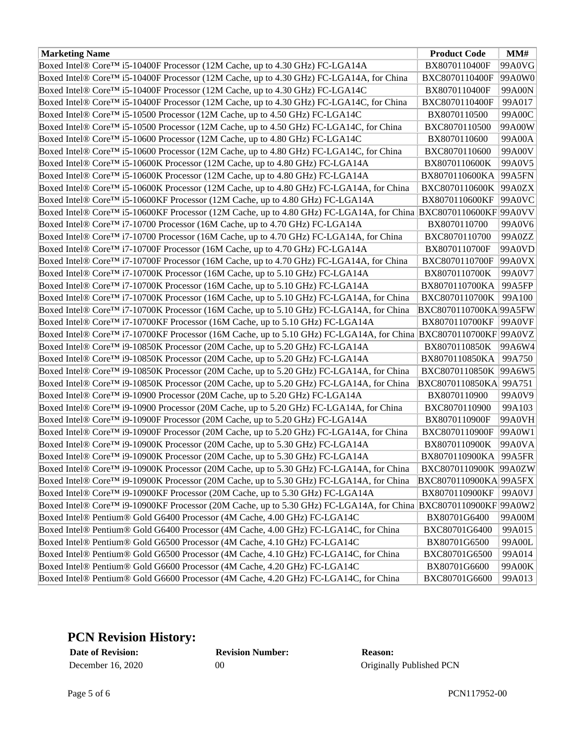| <b>Marketing Name</b>                                                                                                        | <b>Product Code</b>    | MM#    |
|------------------------------------------------------------------------------------------------------------------------------|------------------------|--------|
| Boxed Intel® Core™ i5-10400F Processor (12M Cache, up to 4.30 GHz) FC-LGA14A                                                 | BX8070110400F          | 99A0VG |
| Boxed Intel® Core <sup>TM</sup> i5-10400F Processor (12M Cache, up to 4.30 GHz) FC-LGA14A, for China                         | BXC8070110400F         | 99A0W0 |
| Boxed Intel® Core™ i5-10400F Processor (12M Cache, up to 4.30 GHz) FC-LGA14C                                                 | BX8070110400F          | 99A00N |
| Boxed Intel® Core <sup>™</sup> i5-10400F Processor (12M Cache, up to 4.30 GHz) FC-LGA14C, for China                          | BXC8070110400F         | 99A017 |
| Boxed Intel® Core <sup>TM</sup> i5-10500 Processor (12M Cache, up to 4.50 GHz) FC-LGA14C                                     | BX8070110500           | 99A00C |
| Boxed Intel® Core <sup>™</sup> i5-10500 Processor (12M Cache, up to 4.50 GHz) FC-LGA14C, for China                           | BXC8070110500          | 99A00W |
| Boxed Intel® Core <sup>TM</sup> i5-10600 Processor (12M Cache, up to 4.80 GHz) FC-LGA14C                                     | BX8070110600           | 99A00A |
| Boxed Intel® Core <sup>TM</sup> i5-10600 Processor (12M Cache, up to 4.80 GHz) FC-LGA14C, for China                          | BXC8070110600          | 99A00V |
| Boxed Intel® Core <sup>TM</sup> i5-10600K Processor (12M Cache, up to 4.80 GHz) FC-LGA14A                                    | BX8070110600K          | 99A0V5 |
| Boxed Intel® Core <sup>TM</sup> i5-10600K Processor (12M Cache, up to 4.80 GHz) FC-LGA14A                                    | BX8070110600KA         | 99A5FN |
| Boxed Intel® Core <sup>™</sup> i5-10600K Processor (12M Cache, up to 4.80 GHz) FC-LGA14A, for China                          | BXC8070110600K         | 99A0ZX |
| Boxed Intel® Core <sup>™</sup> i5-10600KF Processor (12M Cache, up to 4.80 GHz) FC-LGA14A                                    | BX8070110600KF         | 99A0VC |
| Boxed Intel® Core™ i5-10600KF Processor (12M Cache, up to 4.80 GHz) FC-LGA14A, for China BXC8070110600KF 99A0VV              |                        |        |
| Boxed Intel® Core™ i7-10700 Processor (16M Cache, up to 4.70 GHz) FC-LGA14A                                                  | BX8070110700           | 99A0V6 |
| Boxed Intel® Core <sup>™</sup> i7-10700 Processor (16M Cache, up to 4.70 GHz) FC-LGA14A, for China                           | BXC8070110700          | 99A0ZZ |
| Boxed Intel® Core <sup>TM</sup> i7-10700F Processor (16M Cache, up to 4.70 GHz) FC-LGA14A                                    | BX8070110700F          | 99A0VD |
| Boxed Intel® Core <sup>TM</sup> i7-10700F Processor (16M Cache, up to 4.70 GHz) FC-LGA14A, for China                         | BXC8070110700F         | 99A0VX |
| Boxed Intel® Core <sup>TM</sup> i7-10700K Processor (16M Cache, up to 5.10 GHz) FC-LGA14A                                    | BX8070110700K          | 99A0V7 |
| Boxed Intel® Core <sup>TM</sup> i7-10700K Processor (16M Cache, up to 5.10 GHz) FC-LGA14A                                    | BX8070110700KA         | 99A5FP |
| Boxed Intel® Core <sup>TM</sup> i7-10700K Processor (16M Cache, up to 5.10 GHz) FC-LGA14A, for China                         | BXC8070110700K         | 99A100 |
| Boxed Intel® Core <sup>™</sup> i7-10700K Processor (16M Cache, up to 5.10 GHz) FC-LGA14A, for China                          | BXC8070110700KA 99A5FW |        |
| Boxed Intel® Core <sup>TM</sup> i7-10700KF Processor (16M Cache, up to 5.10 GHz) FC-LGA14A                                   | BX8070110700KF         | 99A0VF |
| Boxed Intel® Core™ i7-10700KF Processor (16M Cache, up to 5.10 GHz) FC-LGA14A, for China BXC8070110700KF 99A0VZ              |                        |        |
| Boxed Intel® Core <sup>TM</sup> i9-10850K Processor (20M Cache, up to 5.20 GHz) FC-LGA14A                                    | BX8070110850K          | 99A6W4 |
| Boxed Intel® Core™ i9-10850K Processor (20M Cache, up to 5.20 GHz) FC-LGA14A                                                 | BX8070110850KA         | 99A750 |
| Boxed Intel® Core <sup>™</sup> i9-10850K Processor (20M Cache, up to 5.20 GHz) FC-LGA14A, for China                          | BXC8070110850K         | 99A6W5 |
| Boxed Intel® Core™ i9-10850K Processor (20M Cache, up to 5.20 GHz) FC-LGA14A, for China                                      | BXC8070110850KA 99A751 |        |
| Boxed Intel® Core <sup>TM</sup> i9-10900 Processor (20M Cache, up to 5.20 GHz) FC-LGA14A                                     | BX8070110900           | 99A0V9 |
| Boxed Intel® Core™ i9-10900 Processor (20M Cache, up to 5.20 GHz) FC-LGA14A, for China                                       | BXC8070110900          | 99A103 |
| Boxed Intel® Core <sup>TM</sup> i9-10900F Processor (20M Cache, up to 5.20 GHz) FC-LGA14A                                    | BX8070110900F          | 99A0VH |
| Boxed Intel® Core <sup>TM</sup> i9-10900F Processor (20M Cache, up to 5.20 GHz) FC-LGA14A, for China                         | BXC8070110900F         | 99A0W1 |
| Boxed Intel® Core™ i9-10900K Processor (20M Cache, up to 5.30 GHz) FC-LGA14A                                                 | BX8070110900K          | 99A0VA |
| Boxed Intel® Core™ i9-10900K Processor (20M Cache, up to 5.30 GHz) FC-LGA14A                                                 | BX8070110900KA         | 99A5FR |
| Boxed Intel® Core™ i9-10900K Processor (20M Cache, up to 5.30 GHz) FC-LGA14A, for China                                      | BXC8070110900K 99A0ZW  |        |
| Boxed Intel® Core <sup>TM</sup> i9-10900K Processor (20M Cache, up to 5.30 GHz) FC-LGA14A, for China                         | BXC8070110900KA 99A5FX |        |
| Boxed Intel® Core <sup>TM</sup> i9-10900KF Processor (20M Cache, up to 5.30 GHz) FC-LGA14A                                   | BX8070110900KF         | 99A0VJ |
| Boxed Intel® Core <sup>TM</sup> i9-10900KF Processor (20M Cache, up to 5.30 GHz) FC-LGA14A, for China BXC8070110900KF 99A0W2 |                        |        |
| Boxed Intel® Pentium® Gold G6400 Processor (4M Cache, 4.00 GHz) FC-LGA14C                                                    | BX80701G6400           | 99A00M |
| Boxed Intel® Pentium® Gold G6400 Processor (4M Cache, 4.00 GHz) FC-LGA14C, for China                                         | BXC80701G6400          | 99A015 |
| Boxed Intel® Pentium® Gold G6500 Processor (4M Cache, 4.10 GHz) FC-LGA14C                                                    | BX80701G6500           | 99A00L |
| Boxed Intel® Pentium® Gold G6500 Processor (4M Cache, 4.10 GHz) FC-LGA14C, for China                                         | BXC80701G6500          | 99A014 |
| Boxed Intel® Pentium® Gold G6600 Processor (4M Cache, 4.20 GHz) FC-LGA14C                                                    | BX80701G6600           | 99A00K |
| Boxed Intel® Pentium® Gold G6600 Processor (4M Cache, 4.20 GHz) FC-LGA14C, for China                                         | BXC80701G6600          | 99A013 |

#### **PCN Revision History:**

**Date of Revision: Revision Number: Reason:**

December 16, 2020 00 00 Originally Published PCN